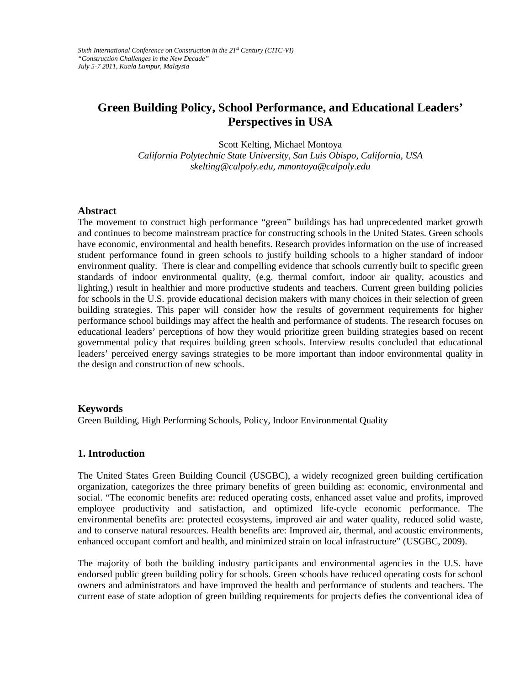# **Green Building Policy, School Performance, and Educational Leaders' Perspectives in USA**

Scott Kelting, Michael Montoya *California Polytechnic State University, San Luis Obispo, [California,](mailto:salman@aubun.edu) USA skelting@calpoly.edu, mmontoya@calpoly.edu*

#### **Abstract**

The movement to construct high performance "green" buildings has had unprecedented market growth and continues to become mainstream practice for constructing schools in the United States. Green schools have economic, environmental and health benefits. Research provides information on the use of increased student performance found in green schools to justify building schools to a higher standard of indoor environment quality. There is clear and compelling evidence that schools currently built to specific green standards of indoor environmental quality, (e.g. thermal comfort, indoor air quality, acoustics and lighting,) result in healthier and more productive students and teachers. Current green building policies for schools in the U.S. provide educational decision makers with many choices in their selection of green building strategies. This paper will consider how the results of government requirements for higher performance school buildings may affect the health and performance of students. The research focuses on educational leaders' perceptions of how they would prioritize green building strategies based on recent governmental policy that requires building green schools. Interview results concluded that educational leaders' perceived energy savings strategies to be more important than indoor environmental quality in the design and construction of new schools.

## **Keywords**

Green Building, High Performing Schools, Policy, Indoor Environmental Quality

## **1. Introduction**

The United States Green Building Council (USGBC), a widely recognized green building certification organization, categorizes the three primary benefits of green building as: economic, environmental and social. "The economic benefits are: reduced operating costs, enhanced asset value and profits, improved employee productivity and satisfaction, and optimized life-cycle economic performance. The environmental benefits are: protected ecosystems, improved air and water quality, reduced solid waste, and to conserve natural resources. Health benefits are: Improved air, thermal, and acoustic environments, enhanced occupant comfort and health, and minimized strain on local infrastructure" (USGBC, 2009).

The majority of both the building industry participants and environmental agencies in the U.S. have endorsed public green building policy for schools. Green schools have reduced operating costs for school owners and administrators and have improved the health and performance of students and teachers. The current ease of state adoption of green building requirements for projects defies the conventional idea of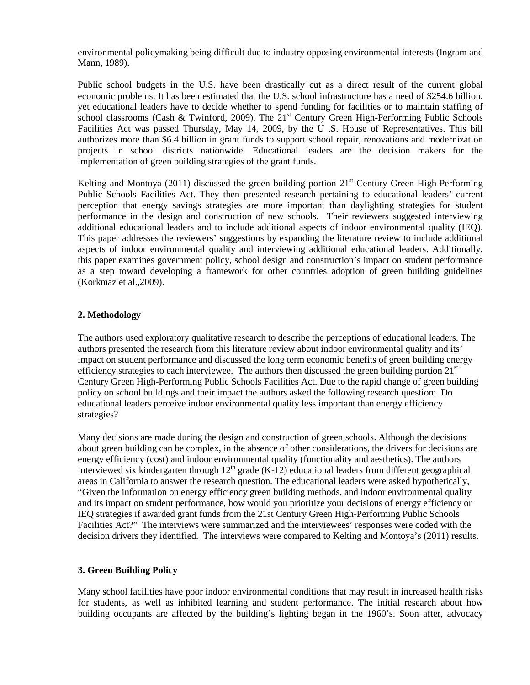environmental policymaking being difficult due to industry opposing environmental interests (Ingram and Mann, 1989).

Public school budgets in the U.S. have been drastically cut as a direct result of the current global economic problems. It has been estimated that the U.S. school infrastructure has a need of \$254.6 billion, yet educational leaders have to decide whether to spend funding for facilities or to maintain staffing of school classrooms (Cash & Twinford, 2009). The  $21<sup>st</sup>$  Century Green High-Performing Public Schools Facilities Act was passed Thursday, May 14, 2009, by the U .S. House of Representatives. This bill authorizes more than \$6.4 billion in grant funds to support school repair, renovations and modernization projects in school districts nationwide. Educational leaders are the decision makers for the implementation of green building strategies of the grant funds.

Kelting and Montoya (2011) discussed the green building portion  $21<sup>st</sup>$  Century Green High-Performing Public Schools Facilities Act. They then presented research pertaining to educational leaders' current perception that energy savings strategies are more important than daylighting strategies for student performance in the design and construction of new schools. Their reviewers suggested interviewing additional educational leaders and to include additional aspects of indoor environmental quality (IEQ). This paper addresses the reviewers' suggestions by expanding the literature review to include additional aspects of indoor environmental quality and interviewing additional educational leaders. Additionally, this paper examines government policy, school design and construction's impact on student performance as a step toward developing a framework for other countries adoption of green building guidelines (Korkmaz et al.,2009).

## **2. Methodology**

The authors used exploratory qualitative research to describe the perceptions of educational leaders. The authors presented the research from this literature review about indoor environmental quality and its' impact on student performance and discussed the long term economic benefits of green building energy efficiency strategies to each interviewee. The authors then discussed the green building portion  $21<sup>st</sup>$ Century Green High-Performing Public Schools Facilities Act. Due to the rapid change of green building policy on school buildings and their impact the authors asked the following research question: Do educational leaders perceive indoor environmental quality less important than energy efficiency strategies?

Many decisions are made during the design and construction of green schools. Although the decisions about green building can be complex, in the absence of other considerations, the drivers for decisions are energy efficiency (cost) and indoor environmental quality (functionality and aesthetics). The authors interviewed six kindergarten through  $12<sup>th</sup>$  grade (K-12) educational leaders from different geographical areas in California to answer the research question. The educational leaders were asked hypothetically, "Given the information on energy efficiency green building methods, and indoor environmental quality and its impact on student performance, how would you prioritize your decisions of energy efficiency or IEQ strategies if awarded grant funds from the 21st Century Green High-Performing Public Schools Facilities Act?" The interviews were summarized and the interviewees' responses were coded with the decision drivers they identified. The interviews were compared to Kelting and Montoya's (2011) results.

## **3. Green Building Policy**

Many school facilities have poor indoor environmental conditions that may result in increased health risks for students, as well as inhibited learning and student performance. The initial research about how building occupants are affected by the building's lighting began in the 1960's. Soon after, advocacy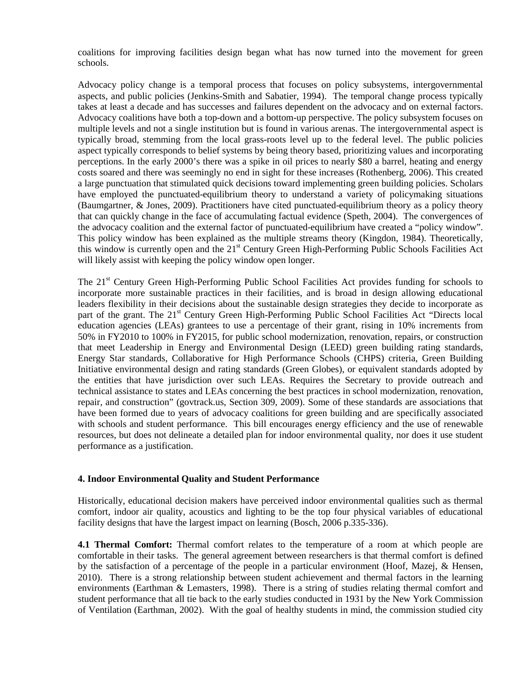coalitions for improving facilities design began what has now turned into the movement for green schools.

Advocacy policy change is a temporal process that focuses on policy subsystems, intergovernmental aspects, and public policies (Jenkins-Smith and Sabatier, 1994). The temporal change process typically takes at least a decade and has successes and failures dependent on the advocacy and on external factors. Advocacy coalitions have both a top-down and a bottom-up perspective. The policy subsystem focuses on multiple levels and not a single institution but is found in various arenas. The intergovernmental aspect is typically broad, stemming from the local grass-roots level up to the federal level. The public policies aspect typically corresponds to belief systems by being theory based, prioritizing values and incorporating perceptions. In the early 2000's there was a spike in oil prices to nearly \$80 a barrel, heating and energy costs soared and there was seemingly no end in sight for these increases (Rothenberg, 2006). This created a large punctuation that stimulated quick decisions toward implementing green building policies. Scholars have employed the punctuated-equilibrium theory to understand a variety of policymaking situations (Baumgartner, & Jones, 2009). Practitioners have cited punctuated-equilibrium theory as a policy theory that can quickly change in the face of accumulating factual evidence (Speth, 2004). The convergences of the advocacy coalition and the external factor of punctuated-equilibrium have created a "policy window". This policy window has been explained as the multiple streams theory (Kingdon, 1984). Theoretically, this window is currently open and the 21st Century Green High-Performing Public Schools Facilities Act will likely assist with keeping the policy window open longer.

The 21<sup>st</sup> Century Green High-Performing Public School Facilities Act provides funding for schools to incorporate more sustainable practices in their facilities, and is broad in design allowing educational leaders flexibility in their decisions about the sustainable design strategies they decide to incorporate as part of the grant. The 21<sup>st</sup> Century Green High-Performing Public School Facilities Act "Directs local education agencies (LEAs) grantees to use a percentage of their grant, rising in 10% increments from 50% in FY2010 to 100% in FY2015, for public school modernization, renovation, repairs, or construction that meet Leadership in Energy and Environmental Design (LEED) green building rating standards, Energy Star standards, Collaborative for High Performance Schools (CHPS) criteria, Green Building Initiative environmental design and rating standards (Green Globes), or equivalent standards adopted by the entities that have jurisdiction over such LEAs. Requires the Secretary to provide outreach and technical assistance to states and LEAs concerning the best practices in school modernization, renovation, repair, and construction" (govtrack.us, Section 309, 2009). Some of these standards are associations that have been formed due to years of advocacy coalitions for green building and are specifically associated with schools and student performance. This bill encourages energy efficiency and the use of renewable resources, but does not delineate a detailed plan for indoor environmental quality, nor does it use student performance as a justification.

## **4. Indoor Environmental Quality and Student Performance**

Historically, educational decision makers have perceived indoor environmental qualities such as thermal comfort, indoor air quality, acoustics and lighting to be the top four physical variables of educational facility designs that have the largest impact on learning (Bosch, 2006 p.335-336).

**4.1 Thermal Comfort:** Thermal comfort relates to the temperature of a room at which people are comfortable in their tasks. The general agreement between researchers is that thermal comfort is defined by the satisfaction of a percentage of the people in a particular environment (Hoof, Mazej, & Hensen, 2010). There is a strong relationship between student achievement and thermal factors in the learning environments (Earthman & Lemasters, 1998). There is a string of studies relating thermal comfort and student performance that all tie back to the early studies conducted in 1931 by the New York Commission of Ventilation (Earthman, 2002). With the goal of healthy students in mind, the commission studied city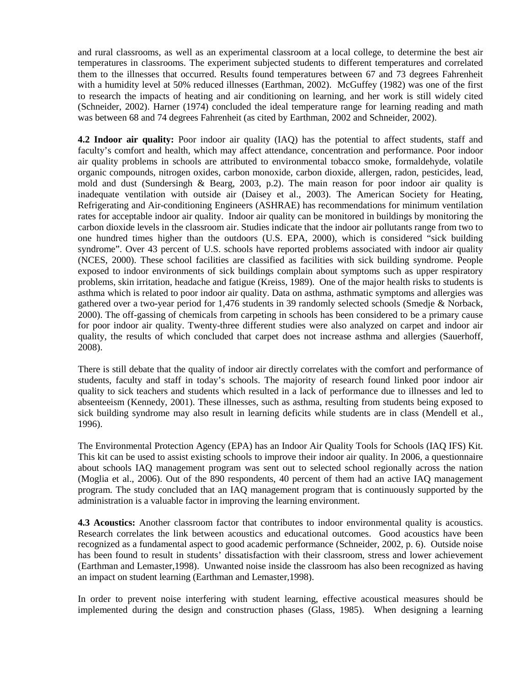and rural classrooms, as well as an experimental classroom at a local college, to determine the best air temperatures in classrooms. The experiment subjected students to different temperatures and correlated them to the illnesses that occurred. Results found temperatures between 67 and 73 degrees Fahrenheit with a humidity level at 50% reduced illnesses (Earthman, 2002). McGuffey (1982) was one of the first to research the impacts of heating and air conditioning on learning, and her work is still widely cited (Schneider, 2002). Harner (1974) concluded the ideal temperature range for learning reading and math was between 68 and 74 degrees Fahrenheit (as cited by Earthman, 2002 and Schneider, 2002).

**4.2 Indoor air quality:** Poor indoor air quality (IAQ) has the potential to affect students, staff and faculty's comfort and health, which may affect attendance, concentration and performance. Poor indoor air quality problems in schools are attributed to environmental tobacco smoke, formaldehyde, volatile organic compounds, nitrogen oxides, carbon monoxide, carbon dioxide, allergen, radon, pesticides, lead, mold and dust (Sundersingh & Bearg, 2003, p.2). The main reason for poor indoor air quality is inadequate ventilation with outside air (Daisey et al., 2003). The American Society for Heating, Refrigerating and Air-conditioning Engineers (ASHRAE) has recommendations for minimum ventilation rates for acceptable indoor air quality. Indoor air quality can be monitored in buildings by monitoring the carbon dioxide levels in the classroom air. Studies indicate that the indoor air pollutants range from two to one hundred times higher than the outdoors (U.S. EPA, 2000), which is considered "sick building syndrome". Over 43 percent of U.S. schools have reported problems associated with indoor air quality (NCES, 2000). These school facilities are classified as facilities with sick building syndrome. People exposed to indoor environments of sick buildings complain about symptoms such as upper respiratory problems, skin irritation, headache and fatigue (Kreiss, 1989). One of the major health risks to students is asthma which is related to poor indoor air quality. Data on asthma, asthmatic symptoms and allergies was gathered over a two-year period for 1,476 students in 39 randomly selected schools (Smedje & Norback, 2000). The off-gassing of chemicals from carpeting in schools has been considered to be a primary cause for poor indoor air quality. Twenty-three different studies were also analyzed on carpet and indoor air quality, the results of which concluded that carpet does not increase asthma and allergies (Sauerhoff, 2008).

There is still debate that the quality of indoor air directly correlates with the comfort and performance of students, faculty and staff in today's schools. The majority of research found linked poor indoor air quality to sick teachers and students which resulted in a lack of performance due to illnesses and led to absenteeism (Kennedy, 2001). These illnesses, such as asthma, resulting from students being exposed to sick building syndrome may also result in learning deficits while students are in class (Mendell et al., 1996).

The Environmental Protection Agency (EPA) has an Indoor Air Quality Tools for Schools (IAQ IFS) Kit. This kit can be used to assist existing schools to improve their indoor air quality. In 2006, a questionnaire about schools IAQ management program was sent out to selected school regionally across the nation (Moglia et al., 2006). Out of the 890 respondents, 40 percent of them had an active IAQ management program. The study concluded that an IAQ management program that is continuously supported by the administration is a valuable factor in improving the learning environment.

**4.3 Acoustics:** Another classroom factor that contributes to indoor environmental quality is acoustics. Research correlates the link between acoustics and educational outcomes. Good acoustics have been recognized as a fundamental aspect to good academic performance (Schneider, 2002, p. 6). Outside noise has been found to result in students' dissatisfaction with their classroom, stress and lower achievement (Earthman and Lemaster,1998). Unwanted noise inside the classroom has also been recognized as having an impact on student learning (Earthman and Lemaster,1998).

In order to prevent noise interfering with student learning, effective acoustical measures should be implemented during the design and construction phases (Glass, 1985). When designing a learning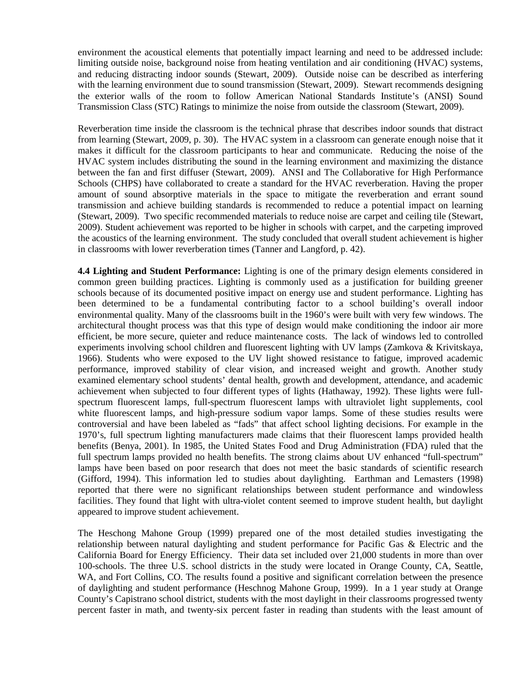environment the acoustical elements that potentially impact learning and need to be addressed include: limiting outside noise, background noise from heating ventilation and air conditioning (HVAC) systems, and reducing distracting indoor sounds (Stewart, 2009). Outside noise can be described as interfering with the learning environment due to sound transmission (Stewart, 2009). Stewart recommends designing the exterior walls of the room to follow American National Standards Institute's (ANSI) Sound Transmission Class (STC) Ratings to minimize the noise from outside the classroom (Stewart, 2009).

Reverberation time inside the classroom is the technical phrase that describes indoor sounds that distract from learning (Stewart, 2009, p. 30). The HVAC system in a classroom can generate enough noise that it makes it difficult for the classroom participants to hear and communicate. Reducing the noise of the HVAC system includes distributing the sound in the learning environment and maximizing the distance between the fan and first diffuser (Stewart, 2009). ANSI and The Collaborative for High Performance Schools (CHPS) have collaborated to create a standard for the HVAC reverberation. Having the proper amount of sound absorptive materials in the space to mitigate the reverberation and errant sound transmission and achieve building standards is recommended to reduce a potential impact on learning (Stewart, 2009). Two specific recommended materials to reduce noise are carpet and ceiling tile (Stewart, 2009). Student achievement was reported to be higher in schools with carpet, and the carpeting improved the acoustics of the learning environment. The study concluded that overall student achievement is higher in classrooms with lower reverberation times (Tanner and Langford, p. 42).

**4.4 Lighting and Student Performance:** Lighting is one of the primary design elements considered in common green building practices. Lighting is commonly used as a justification for building greener schools because of its documented positive impact on energy use and student performance. Lighting has been determined to be a fundamental contributing factor to a school building's overall indoor environmental quality. Many of the classrooms built in the 1960's were built with very few windows. The architectural thought process was that this type of design would make conditioning the indoor air more efficient, be more secure, quieter and reduce maintenance costs. The lack of windows led to controlled experiments involving school children and fluorescent lighting with UV lamps (Zamkova & Krivitskaya, 1966). Students who were exposed to the UV light showed resistance to fatigue, improved academic performance, improved stability of clear vision, and increased weight and growth. Another study examined elementary school students' dental health, growth and development, attendance, and academic achievement when subjected to four different types of lights (Hathaway, 1992). These lights were fullspectrum fluorescent lamps, full-spectrum fluorescent lamps with ultraviolet light supplements, cool white fluorescent lamps, and high-pressure sodium vapor lamps. Some of these studies results were controversial and have been labeled as "fads" that affect school lighting decisions. For example in the 1970's, full spectrum lighting manufacturers made claims that their fluorescent lamps provided health benefits (Benya, 2001). In 1985, the United States Food and Drug Administration (FDA) ruled that the full spectrum lamps provided no health benefits. The strong claims about UV enhanced "full-spectrum" lamps have been based on poor research that does not meet the basic standards of scientific research (Gifford, 1994). This information led to studies about daylighting. Earthman and Lemasters (1998) reported that there were no significant relationships between student performance and windowless facilities. They found that light with ultra-violet content seemed to improve student health, but daylight appeared to improve student achievement.

The Heschong Mahone Group (1999) prepared one of the most detailed studies investigating the relationship between natural daylighting and student performance for Pacific Gas & Electric and the California Board for Energy Efficiency. Their data set included over 21,000 students in more than over 100-schools. The three U.S. school districts in the study were located in Orange County, CA, Seattle, WA, and Fort Collins, CO. The results found a positive and significant correlation between the presence of daylighting and student performance (Heschnog Mahone Group, 1999). In a 1 year study at Orange County's Capistrano school district, students with the most daylight in their classrooms progressed twenty percent faster in math, and twenty-six percent faster in reading than students with the least amount of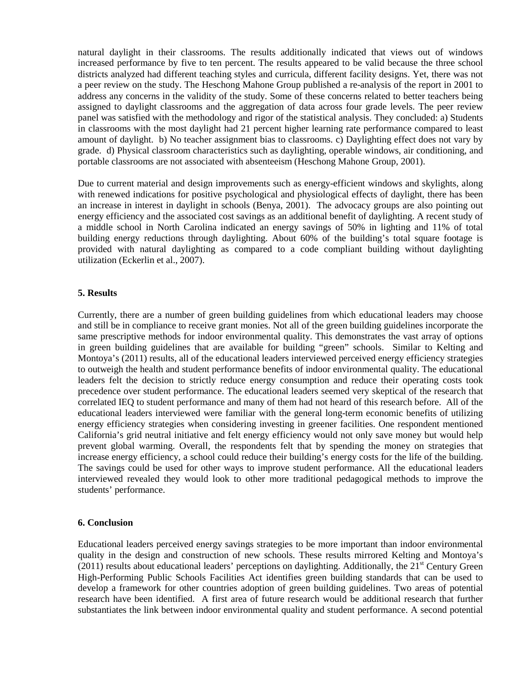natural daylight in their classrooms. The results additionally indicated that views out of windows increased performance by five to ten percent. The results appeared to be valid because the three school districts analyzed had different teaching styles and curricula, different facility designs. Yet, there was not a peer review on the study. The Heschong Mahone Group published a re-analysis of the report in 2001 to address any concerns in the validity of the study. Some of these concerns related to better teachers being assigned to daylight classrooms and the aggregation of data across four grade levels. The peer review panel was satisfied with the methodology and rigor of the statistical analysis. They concluded: a) Students in classrooms with the most daylight had 21 percent higher learning rate performance compared to least amount of daylight. b) No teacher assignment bias to classrooms. c) Daylighting effect does not vary by grade. d) Physical classroom characteristics such as daylighting, operable windows, air conditioning, and portable classrooms are not associated with absenteeism (Heschong Mahone Group, 2001).

Due to current material and design improvements such as energy-efficient windows and skylights, along with renewed indications for positive psychological and physiological effects of daylight, there has been an increase in interest in daylight in schools (Benya, 2001). The advocacy groups are also pointing out energy efficiency and the associated cost savings as an additional benefit of daylighting. A recent study of a middle school in North Carolina indicated an energy savings of 50% in lighting and 11% of total building energy reductions through daylighting. About 60% of the building's total square footage is provided with natural daylighting as compared to a code compliant building without daylighting utilization (Eckerlin et al., 2007).

#### **5. Results**

Currently, there are a number of green building guidelines from which educational leaders may choose and still be in compliance to receive grant monies. Not all of the green building guidelines incorporate the same prescriptive methods for indoor environmental quality. This demonstrates the vast array of options in green building guidelines that are available for building "green" schools. Similar to Kelting and Montoya's (2011) results, all of the educational leaders interviewed perceived energy efficiency strategies to outweigh the health and student performance benefits of indoor environmental quality. The educational leaders felt the decision to strictly reduce energy consumption and reduce their operating costs took precedence over student performance. The educational leaders seemed very skeptical of the research that correlated IEQ to student performance and many of them had not heard of this research before. All of the educational leaders interviewed were familiar with the general long-term economic benefits of utilizing energy efficiency strategies when considering investing in greener facilities. One respondent mentioned California's grid neutral initiative and felt energy efficiency would not only save money but would help prevent global warming. Overall, the respondents felt that by spending the money on strategies that increase energy efficiency, a school could reduce their building's energy costs for the life of the building. The savings could be used for other ways to improve student performance. All the educational leaders interviewed revealed they would look to other more traditional pedagogical methods to improve the students' performance.

#### **6. Conclusion**

Educational leaders perceived energy savings strategies to be more important than indoor environmental quality in the design and construction of new schools. These results mirrored Kelting and Montoya's (2011) results about educational leaders' perceptions on daylighting. Additionally, the  $21^{st}$  Century Green High-Performing Public Schools Facilities Act identifies green building standards that can be used to develop a framework for other countries adoption of green building guidelines. Two areas of potential research have been identified. A first area of future research would be additional research that further substantiates the link between indoor environmental quality and student performance. A second potential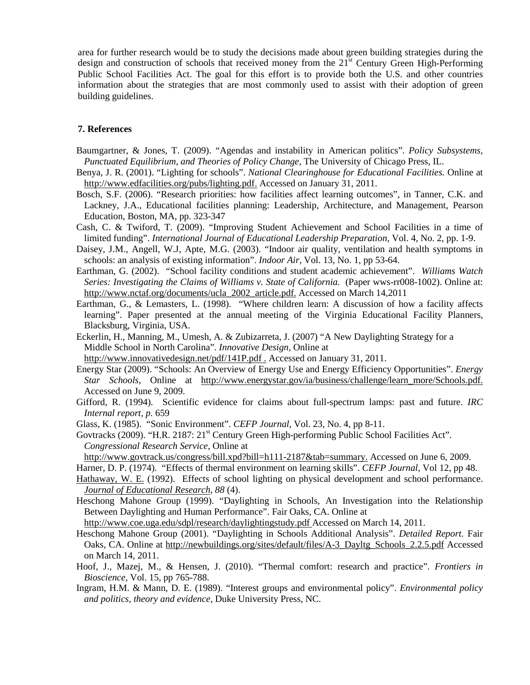area for further research would be to study the decisions made about green building strategies during the design and construction of schools that received money from the  $21<sup>st</sup>$  Century Green High-Performing Public School Facilities Act. The goal for this effort is to provide both the U.S. and other countries information about the strategies that are most commonly used to assist with their adoption of green building guidelines.

## **7. References**

- Baumgartner, & Jones, T. (2009). "Agendas and instability in American politics". *Policy Subsystems, Punctuated Equilibrium, and Theories of Policy Change*, The University of Chicago Press, IL.
- Benya, J. R. (2001). "Lighting for schools". *National Clearinghouse for Educational Facilities.* Online at [http://www.edfacilities.org/pubs/lighting.pdf.](http://www.edfacilities.org/pubs/lighting.pdf) Accessed on January 31, 2011.
- Bosch, S.F. (2006). "Research priorities: how facilities affect learning outcomes", in Tanner, C.K. and Lackney, J.A., Educational facilities planning: Leadership, Architecture, and Management, Pearson Education, Boston, MA, pp. 323-347
- Cash, C. & Twiford, T. (2009). "Improving Student Achievement and School Facilities in a time of limited funding". *International Journal of Educational Leadership Preparation*, Vol. 4, No. 2, pp. 1-9.
- Daisey, J.M., Angell, W.J, Apte, M.G. (2003). "Indoor air quality, ventilation and health symptoms in schools: an analysis of existing information". *Indoor Air*, Vol. 13, No. 1, pp 53-64.
- Earthman, G. (2002). "School facility conditions and student academic achievement". *Williams Watch Series: Investigating the Claims of Williams v. State of California.* (Paper wws-rr008-1002). Online at: [http://www.nctaf.org/documents/ucla\\_2002\\_article.pdf.](http://www.nctaf.org/documents/ucla_2002_article.pdf) Accessed on March 14,2011
- Earthman, G., & Lemasters, L. (1998). "Where children learn: A discussion of how a facility affects learning". Paper presented at the annual meeting of the Virginia Educational Facility Planners, Blacksburg, Virginia, USA.
- Eckerlin, H., Manning, M., Umesh, A. & Zubizarreta, J. (2007) "A New Daylighting Strategy for a Middle School in North Carolina". *Innovative Design,* Online at <http://www.innovativedesign.net/pdf/141P.pdf> . Accessed on January 31, 2011.
- Energy Star (2009). "Schools: An Overview of Energy Use and Energy Efficiency Opportunities". *Energy Star Schools*, Online at [http://www.energystar.gov/ia/business/challenge/learn\\_more/Schools.pdf.](http://www.energystar.gov/ia/business/challenge/learn_more/Schools.pdf)  Accessed on June 9, 2009.
- Gifford, R. (1994). Scientific evidence for claims about full-spectrum lamps: past and future. *IRC Internal report, p.* 659
- Glass, K. (1985). "Sonic Environment". *CEFP Journal*, Vol. 23, No. 4, pp 8-11.
- Govtracks (2009). "H.R. 2187: 21<sup>st</sup> Century Green High-performing Public School Facilities Act". *Congressional Research Service*, Online at

http://www.govtrack.us/congress/bill.xpd?bill=h111-2187&tab=summary. Accessed on June 6, 2009.

- Harner, D. P. (1974). "Effects of thermal environment on learning skills". *CEFP Journal*, Vol 12, pp 48.
- [Hathaway, W. E.](javascript:__doLinkPostBack() (1992). Effects of school lighting on physical development and school performance. *[Journal of Educational Research,](javascript:__doLinkPostBack() 88* (4).
- Heschong Mahone Group (1999). "Daylighting in Schools, An Investigation into the Relationship Between Daylighting and Human Performance". Fair Oaks, CA. Online at

http://www.coe.uga.edu/sdpl/research/daylightingstudy.pdf Accessed on March 14, 2011.

- Heschong Mahone Group (2001). "Daylighting in Schools Additional Analysis". *Detailed Report.* Fair Oaks, CA. Online at http://newbuildings.org/sites/default/files/A-3\_Dayltg\_Schools\_2.2.5.pdf Accessed on March 14, 2011.
- Hoof, J., Mazej, M., & Hensen, J. (2010). "Thermal comfort: research and practice". *Frontiers in Bioscience,* Vol. 15, pp 765-788.
- Ingram, H.M. & Mann, D. E. (1989). "Interest groups and environmental policy". *Environmental policy and politics, theory and evidence,* Duke University Press, NC.